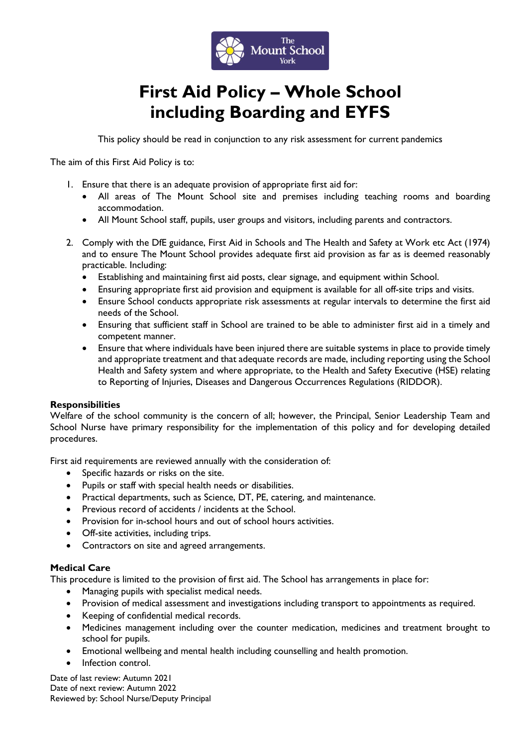

# **First Aid Policy – Whole School including Boarding and EYFS**

This policy should be read in conjunction to any risk assessment for current pandemics

The aim of this First Aid Policy is to:

- 1. Ensure that there is an adequate provision of appropriate first aid for:
	- All areas of The Mount School site and premises including teaching rooms and boarding accommodation.
	- All Mount School staff, pupils, user groups and visitors, including parents and contractors.
- 2. Comply with the DfE guidance, First Aid in Schools and The Health and Safety at Work etc Act (1974) and to ensure The Mount School provides adequate first aid provision as far as is deemed reasonably practicable. Including:
	- Establishing and maintaining first aid posts, clear signage, and equipment within School.
	- Ensuring appropriate first aid provision and equipment is available for all off-site trips and visits.
	- Ensure School conducts appropriate risk assessments at regular intervals to determine the first aid needs of the School.
	- Ensuring that sufficient staff in School are trained to be able to administer first aid in a timely and competent manner.
	- Ensure that where individuals have been injured there are suitable systems in place to provide timely and appropriate treatment and that adequate records are made, including reporting using the School Health and Safety system and where appropriate, to the Health and Safety Executive (HSE) relating to Reporting of Injuries, Diseases and Dangerous Occurrences Regulations (RIDDOR).

#### **Responsibilities**

Welfare of the school community is the concern of all; however, the Principal, Senior Leadership Team and School Nurse have primary responsibility for the implementation of this policy and for developing detailed procedures.

First aid requirements are reviewed annually with the consideration of:

- Specific hazards or risks on the site.
- Pupils or staff with special health needs or disabilities.
- Practical departments, such as Science, DT, PE, catering, and maintenance.
- Previous record of accidents / incidents at the School.
- Provision for in-school hours and out of school hours activities.
- Off-site activities, including trips.
- Contractors on site and agreed arrangements.

## **Medical Care**

This procedure is limited to the provision of first aid. The School has arrangements in place for:

- Managing pupils with specialist medical needs.
- Provision of medical assessment and investigations including transport to appointments as required.
- Keeping of confidential medical records.
- Medicines management including over the counter medication, medicines and treatment brought to school for pupils.
- Emotional wellbeing and mental health including counselling and health promotion.
- Infection control.

Date of last review: Autumn 2021 Date of next review: Autumn 2022 Reviewed by: School Nurse/Deputy Principal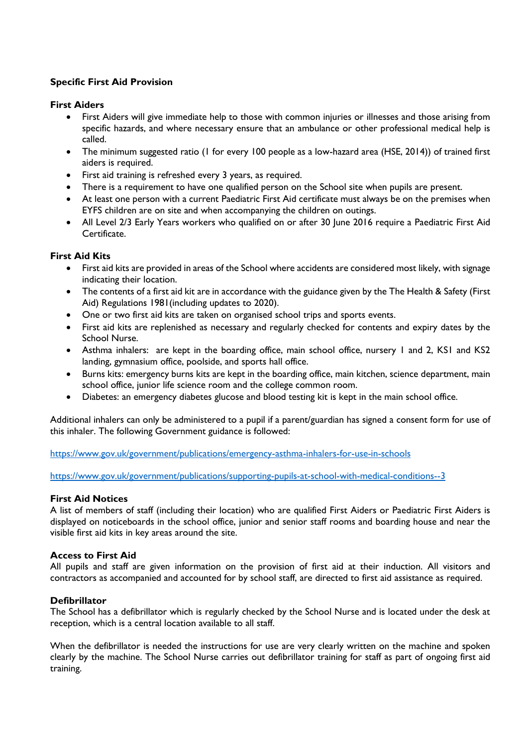# **Specific First Aid Provision**

## **First Aiders**

- First Aiders will give immediate help to those with common injuries or illnesses and those arising from specific hazards, and where necessary ensure that an ambulance or other professional medical help is called.
- The minimum suggested ratio (1 for every 100 people as a low-hazard area (HSE, 2014)) of trained first aiders is required.
- First aid training is refreshed every 3 years, as required.
- There is a requirement to have one qualified person on the School site when pupils are present.
- At least one person with a current Paediatric First Aid certificate must always be on the premises when EYFS children are on site and when accompanying the children on outings.
- All Level 2/3 Early Years workers who qualified on or after 30 June 2016 require a Paediatric First Aid Certificate.

## **First Aid Kits**

- First aid kits are provided in areas of the School where accidents are considered most likely, with signage indicating their location.
- The contents of a first aid kit are in accordance with the guidance given by the The Health & Safety (First Aid) Regulations 1981(including updates to 2020).
- One or two first aid kits are taken on organised school trips and sports events.
- First aid kits are replenished as necessary and regularly checked for contents and expiry dates by the School Nurse.
- Asthma inhalers: are kept in the boarding office, main school office, nursery 1 and 2, KS1 and KS2 landing, gymnasium office, poolside, and sports hall office.
- Burns kits: emergency burns kits are kept in the boarding office, main kitchen, science department, main school office, junior life science room and the college common room.
- Diabetes: an emergency diabetes glucose and blood testing kit is kept in the main school office.

Additional inhalers can only be administered to a pupil if a parent/guardian has signed a consent form for use of this inhaler. The following Government guidance is followed:

<https://www.gov.uk/government/publications/emergency-asthma-inhalers-for-use-in-schools>

<https://www.gov.uk/government/publications/supporting-pupils-at-school-with-medical-conditions--3>

## **First Aid Notices**

A list of members of staff (including their location) who are qualified First Aiders or Paediatric First Aiders is displayed on noticeboards in the school office, junior and senior staff rooms and boarding house and near the visible first aid kits in key areas around the site.

#### **Access to First Aid**

All pupils and staff are given information on the provision of first aid at their induction. All visitors and contractors as accompanied and accounted for by school staff, are directed to first aid assistance as required.

#### **Defibrillator**

The School has a defibrillator which is regularly checked by the School Nurse and is located under the desk at reception, which is a central location available to all staff.

When the defibrillator is needed the instructions for use are very clearly written on the machine and spoken clearly by the machine. The School Nurse carries out defibrillator training for staff as part of ongoing first aid training.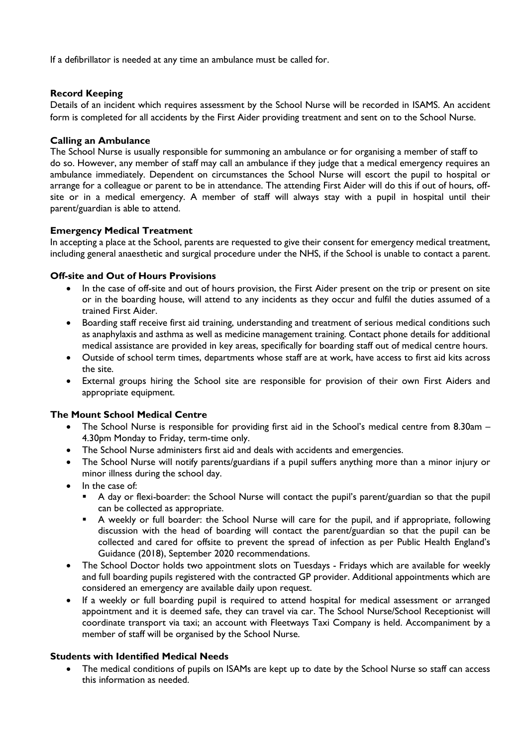If a defibrillator is needed at any time an ambulance must be called for.

## **Record Keeping**

Details of an incident which requires assessment by the School Nurse will be recorded in ISAMS. An accident form is completed for all accidents by the First Aider providing treatment and sent on to the School Nurse.

## **Calling an Ambulance**

The School Nurse is usually responsible for summoning an ambulance or for organising a member of staff to do so. However, any member of staff may call an ambulance if they judge that a medical emergency requires an ambulance immediately. Dependent on circumstances the School Nurse will escort the pupil to hospital or arrange for a colleague or parent to be in attendance. The attending First Aider will do this if out of hours, offsite or in a medical emergency. A member of staff will always stay with a pupil in hospital until their parent/guardian is able to attend.

## **Emergency Medical Treatment**

In accepting a place at the School, parents are requested to give their consent for emergency medical treatment, including general anaesthetic and surgical procedure under the NHS, if the School is unable to contact a parent.

## **Off-site and Out of Hours Provisions**

- In the case of off-site and out of hours provision, the First Aider present on the trip or present on site or in the boarding house, will attend to any incidents as they occur and fulfil the duties assumed of a trained First Aider.
- Boarding staff receive first aid training, understanding and treatment of serious medical conditions such as anaphylaxis and asthma as well as medicine management training. Contact phone details for additional medical assistance are provided in key areas, specifically for boarding staff out of medical centre hours.
- Outside of school term times, departments whose staff are at work, have access to first aid kits across the site.
- External groups hiring the School site are responsible for provision of their own First Aiders and appropriate equipment.

## **The Mount School Medical Centre**

- The School Nurse is responsible for providing first aid in the School's medical centre from 8.30am 4.30pm Monday to Friday, term-time only.
- The School Nurse administers first aid and deals with accidents and emergencies.
- The School Nurse will notify parents/guardians if a pupil suffers anything more than a minor injury or minor illness during the school day.
- In the case of:
	- A day or flexi-boarder: the School Nurse will contact the pupil's parent/guardian so that the pupil can be collected as appropriate.
	- A weekly or full boarder: the School Nurse will care for the pupil, and if appropriate, following discussion with the head of boarding will contact the parent/guardian so that the pupil can be collected and cared for offsite to prevent the spread of infection as per Public Health England's Guidance (2018), September 2020 recommendations.
- The School Doctor holds two appointment slots on Tuesdays Fridays which are available for weekly and full boarding pupils registered with the contracted GP provider. Additional appointments which are considered an emergency are available daily upon request.
- If a weekly or full boarding pupil is required to attend hospital for medical assessment or arranged appointment and it is deemed safe, they can travel via car. The School Nurse/School Receptionist will coordinate transport via taxi; an account with Fleetways Taxi Company is held. Accompaniment by a member of staff will be organised by the School Nurse.

#### **Students with Identified Medical Needs**

The medical conditions of pupils on ISAMs are kept up to date by the School Nurse so staff can access this information as needed.